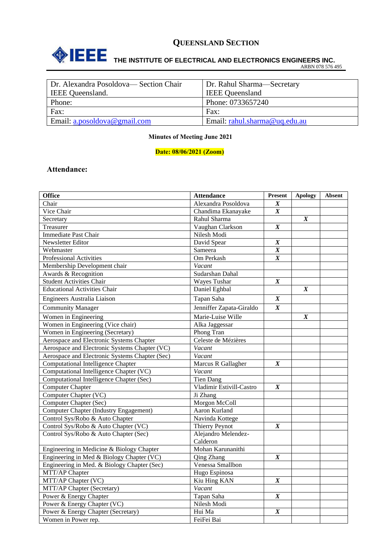

## **ONEEE** THE INSTITUTE OF ELECTRICAL AND ELECTRONICS ENGINEERS INC.

ARBN 078 576 495

| Dr. Alexandra Posoldova— Section Chair | Dr. Rahul Sharma—Secretary    |  |  |
|----------------------------------------|-------------------------------|--|--|
| <b>IEEE</b> Queensland.                | <b>IEEE</b> Queensland        |  |  |
| Phone:                                 | Phone: 0733657240             |  |  |
| Fax:                                   | Fax:                          |  |  |
| Email: $a. posoldova@gmail.com$        | Email: rahul.sharma@uq.edu.au |  |  |
|                                        |                               |  |  |

#### **Minutes of Meeting June 2021**

#### **Date: 08/06/2021 (Zoom)**

#### **Attendance:**

| <b>Office</b>                                  | <b>Attendance</b>               | <b>Present</b>   | <b>Apology</b>   | <b>Absent</b> |
|------------------------------------------------|---------------------------------|------------------|------------------|---------------|
| Chair                                          | Alexandra Posoldova             | $\boldsymbol{X}$ |                  |               |
| Vice Chair                                     | Chandima Ekanayake              | $\boldsymbol{X}$ |                  |               |
| Secretary                                      | Rahul Sharma                    |                  | $\boldsymbol{X}$ |               |
| Treasurer                                      | Vaughan Clarkson                | $\boldsymbol{X}$ |                  |               |
| Immediate Past Chair                           | Nilesh Modi                     |                  |                  |               |
| Newsletter Editor                              | David Spear                     | $\boldsymbol{X}$ |                  |               |
| Webmaster                                      | Sameera                         | $\boldsymbol{X}$ |                  |               |
| <b>Professional Activities</b>                 | Om Perkash                      | $\boldsymbol{X}$ |                  |               |
| Membership Development chair                   | Vacant                          |                  |                  |               |
| Awards & Recognition                           | Sudarshan Dahal                 |                  |                  |               |
| <b>Student Activities Chair</b>                | Wayes Tushar                    | $\boldsymbol{X}$ |                  |               |
| <b>Educational Activities Chair</b>            | Daniel Eghbal                   |                  | $\boldsymbol{X}$ |               |
| Engineers Australia Liaison                    | Tapan Saha                      | $\boldsymbol{X}$ |                  |               |
| <b>Community Manager</b>                       | Jenniffer Zapata-Giraldo        | $\boldsymbol{X}$ |                  |               |
| Women in Engineering                           | Marie-Luise Wille               |                  | $\boldsymbol{X}$ |               |
| Women in Engineering (Vice chair)              | Alka Jaggessar                  |                  |                  |               |
| Women in Engineering (Secretary)               | Phong Tran                      |                  |                  |               |
| Aerospace and Electronic Systems Chapter       | Celeste de Mézières             |                  |                  |               |
| Aerospace and Electronic Systems Chapter (VC)  | Vacant                          |                  |                  |               |
| Aerospace and Electronic Systems Chapter (Sec) | Vacant                          |                  |                  |               |
| <b>Computational Intelligence Chapter</b>      | Marcus R Gallagher              | $\boldsymbol{X}$ |                  |               |
| Computational Intelligence Chapter (VC)        | Vacant                          |                  |                  |               |
| Computational Intelligence Chapter (Sec)       | <b>Tien Dang</b>                |                  |                  |               |
| <b>Computer Chapter</b>                        | Vladimir Estivill-Castro        | $\boldsymbol{X}$ |                  |               |
| Computer Chapter (VC)                          | Ji Zhang                        |                  |                  |               |
| Computer Chapter (Sec)                         | Morgon McColl                   |                  |                  |               |
| Computer Chapter (Industry Engagement)         | Aaron Kurland                   |                  |                  |               |
| Control Sys/Robo & Auto Chapter                | Navinda Kottege                 |                  |                  |               |
| Control Sys/Robo & Auto Chapter (VC)           | <b>Thierry Peynot</b>           | $\boldsymbol{X}$ |                  |               |
| Control Sys/Robo & Auto Chapter (Sec)          | Alejandro Melendez-<br>Calderon |                  |                  |               |
| Engineering in Medicine & Biology Chapter      | Mohan Karunanithi               |                  |                  |               |
| Engineering in Med & Biology Chapter (VC)      | <b>Qing Zhang</b>               |                  |                  |               |
| Engineering in Med. & Biology Chapter (Sec)    | Venessa Smallbon                |                  |                  |               |
| MTT/AP Chapter                                 | Hugo Espinosa                   |                  |                  |               |
| MTT/AP Chapter (VC)                            | Kiu Hing KAN                    | $\boldsymbol{X}$ |                  |               |
| MTT/AP Chapter (Secretary)                     | Vacant                          |                  |                  |               |
| Power & Energy Chapter                         | Tapan Saha                      | $\boldsymbol{X}$ |                  |               |
| Power & Energy Chapter (VC)                    | Nilesh Modi                     |                  |                  |               |
| Power & Energy Chapter (Secretary)             | Hui Ma                          | $\boldsymbol{X}$ |                  |               |
| Women in Power rep.                            | FeiFei Bai                      |                  |                  |               |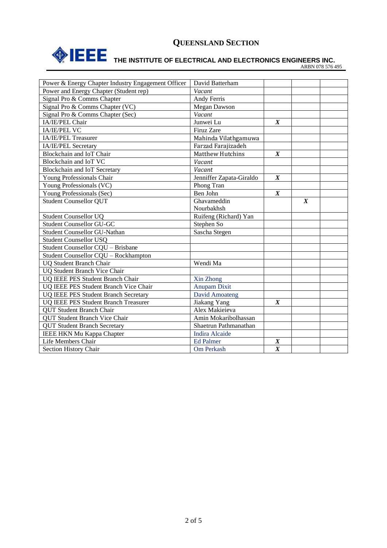

# **THE INSTITUTE OF ELECTRICAL AND ELECTRONICS ENGINEERS INC.**

ARBN 078 576 495

| Power & Energy Chapter Industry Engagement Officer | David Batterham          |                  |                  |  |
|----------------------------------------------------|--------------------------|------------------|------------------|--|
| Power and Energy Chapter (Student rep)             | Vacant                   |                  |                  |  |
| Signal Pro & Comms Chapter                         | Andy Ferris              |                  |                  |  |
| Signal Pro & Comms Chapter (VC)                    | Megan Dawson             |                  |                  |  |
| Signal Pro & Comms Chapter (Sec)                   | Vacant                   |                  |                  |  |
| IA/IE/PEL Chair                                    | Junwei Lu                | $\boldsymbol{X}$ |                  |  |
| <b>IA/IE/PEL VC</b>                                | Firuz Zare               |                  |                  |  |
| IA/IE/PEL Treasurer                                | Mahinda Vilathgamuwa     |                  |                  |  |
| IA/IE/PEL Secretary                                | Farzad Farajizadeh       |                  |                  |  |
| Blockchain and IoT Chair                           | <b>Matthew Hutchins</b>  | $\boldsymbol{X}$ |                  |  |
| Blockchain and IoT VC                              | Vacant                   |                  |                  |  |
| Blockchain and IoT Secretary                       | Vacant                   |                  |                  |  |
| Young Professionals Chair                          | Jenniffer Zapata-Giraldo | $\boldsymbol{X}$ |                  |  |
| Young Professionals (VC)                           | Phong Tran               |                  |                  |  |
| Young Professionals (Sec)                          | Ben John                 | $\boldsymbol{X}$ |                  |  |
| <b>Student Counsellor QUT</b>                      | Ghavameddin              |                  | $\boldsymbol{X}$ |  |
|                                                    | Nourbakhsh               |                  |                  |  |
| Student Counsellor UQ                              | Ruifeng (Richard) Yan    |                  |                  |  |
| <b>Student Counsellor GU-GC</b>                    | Stephen So               |                  |                  |  |
| <b>Student Counsellor GU-Nathan</b>                | Sascha Stegen            |                  |                  |  |
| <b>Student Counsellor USQ</b>                      |                          |                  |                  |  |
| Student Counsellor CQU - Brisbane                  |                          |                  |                  |  |
| Student Counsellor CQU - Rockhampton               |                          |                  |                  |  |
| <b>UQ Student Branch Chair</b>                     | Wendi Ma                 |                  |                  |  |
| <b>UQ Student Branch Vice Chair</b>                |                          |                  |                  |  |
| UQ IEEE PES Student Branch Chair                   | Xin Zhong                |                  |                  |  |
| UQ IEEE PES Student Branch Vice Chair              | Anupam Dixit             |                  |                  |  |
| UQ IEEE PES Student Branch Secretary               | <b>David Amoateng</b>    |                  |                  |  |
| <b>UQ IEEE PES Student Branch Treasurer</b>        | Jiakang Yang             | $\boldsymbol{X}$ |                  |  |
| <b>OUT Student Branch Chair</b>                    | Alex Makiejeva           |                  |                  |  |
| <b>QUT Student Branch Vice Chair</b>               | Amin Mokaribolhassan     |                  |                  |  |
| <b>QUT Student Branch Secretary</b>                | Shaetrun Pathmanathan    |                  |                  |  |
| IEEE HKN Mu Kappa Chapter                          | <b>Indira Alcaide</b>    |                  |                  |  |
| Life Members Chair                                 | <b>Ed Palmer</b>         | $\pmb{X}$        |                  |  |
| Section History Chair                              | Om Perkash               | $\overline{X}$   |                  |  |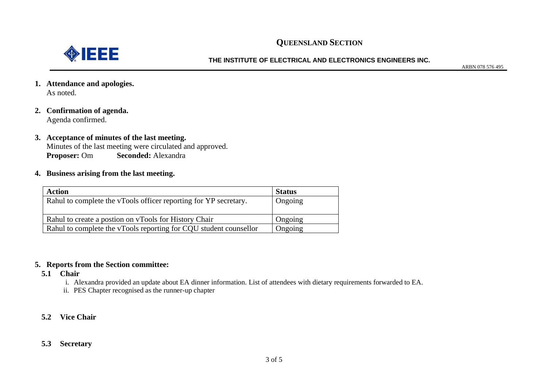

#### **THE INSTITUTE OF ELECTRICAL AND ELECTRONICS ENGINEERS INC.**

ARBN 078 576 495

- **1. Attendance and apologies.** As noted.
- **2. Confirmation of agenda.** Agenda confirmed.
- **3. Acceptance of minutes of the last meeting.**  Minutes of the last meeting were circulated and approved. **Proposer:** Om **Seconded:** Alexandra
- **4. Business arising from the last meeting.**

| <b>Action</b>                                                     | <b>Status</b> |
|-------------------------------------------------------------------|---------------|
| Rahul to complete the vTools officer reporting for YP secretary.  | Ongoing       |
|                                                                   |               |
| Rahul to create a postion on vTools for History Chair             | Ongoing       |
| Rahul to complete the vTools reporting for CQU student counsellor | Ongoing       |

#### **5. Reports from the Section committee:**

- **5.1 Chair**
	- i. Alexandra provided an update about EA dinner information. List of attendees with dietary requirements forwarded to EA.
	- ii. PES Chapter recognised as the runner-up chapter
- **5.2 Vice Chair**
- **5.3 Secretary**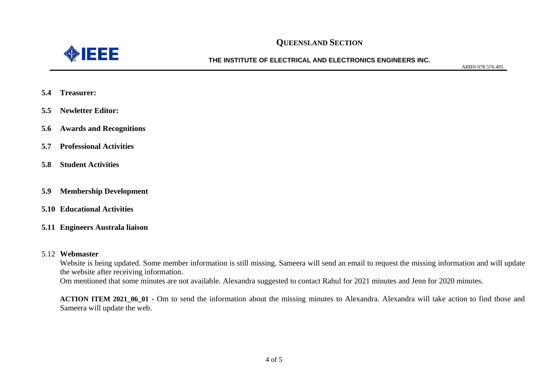

**THE INSTITUTE OF ELECTRICAL AND ELECTRONICS ENGINEERS INC.**

ARBN 078 576 495

- **5.4 Treasurer:**
- **5.5 Newletter Editor:**
- **5.6 Awards and Recognitions**
- **5.7 Professional Activities**
- **5.8 Student Activities**
- **5.9 Membership Development**
- **5.10 Educational Activities**
- **5.11 Engineers Australa liaison**

#### 5.12 **Webmaster**

Website is being updated. Some member information is still missing. Sameera will send an email to request the missing information and will update the website after receiving information. Om mentioned that some minutes are not available. Alexandra suggested to contact Rahul for 2021 minutes and Jenn for 2020 minutes.

**ACTION ITEM 2021\_06\_01** - Om to send the information about the missing minutes to Alexandra. Alexandra will take action to find those and Sameera will update the web.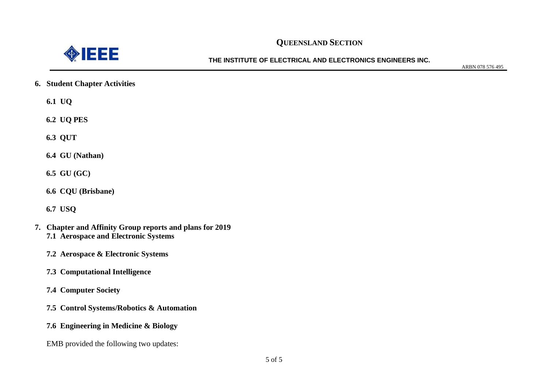

**THE INSTITUTE OF ELECTRICAL AND ELECTRONICS ENGINEERS INC.**

ARBN 078 576 495

**6. Student Chapter Activities**

**6.1 UQ**

**6.2 UQ PES**

**6.3 QUT**

**6.4 GU (Nathan)**

**6.5 GU (GC)**

**6.6 CQU (Brisbane)**

**6.7 USQ**

- **7. Chapter and Affinity Group reports and plans for 2019 7.1 Aerospace and Electronic Systems**
	- **7.2 Aerospace & Electronic Systems**
	- **7.3 Computational Intelligence**
	- **7.4 Computer Society**
	- **7.5 Control Systems/Robotics & Automation**
	- **7.6 Engineering in Medicine & Biology**
	- EMB provided the following two updates: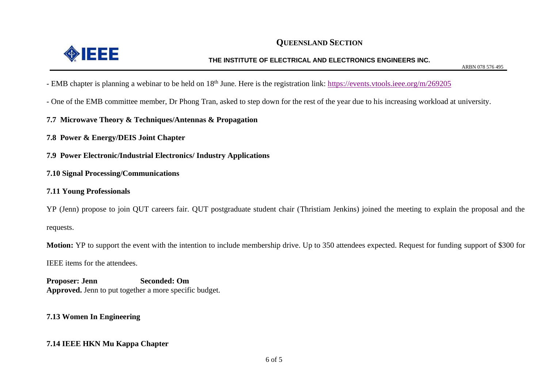

ARBN 078 576 495

- EMB chapter is planning a webinar to be held on 18<sup>th</sup> June. Here is the registration link: <https://events.vtools.ieee.org/m/269205>
- One of the EMB committee member, Dr Phong Tran, asked to step down for the rest of the year due to his increasing workload at university.
- **7.7 Microwave Theory & Techniques/Antennas & Propagation**
- **7.8 Power & Energy/DEIS Joint Chapter**
- **7.9 Power Electronic/Industrial Electronics/ Industry Applications**
- **7.10 Signal Processing/Communications**
- **7.11 Young Professionals**

YP (Jenn) propose to join QUT careers fair. QUT postgraduate student chair (Thristiam Jenkins) joined the meeting to explain the proposal and the requests.

**Motion:** YP to support the event with the intention to include membership drive. Up to 350 attendees expected. Request for funding support of \$300 for

IEEE items for the attendees.

**Proposer: Jenn Seconded: Om Approved.** Jenn to put together a more specific budget.

**7.13 Women In Engineering**

#### **7.14 IEEE HKN Mu Kappa Chapter**

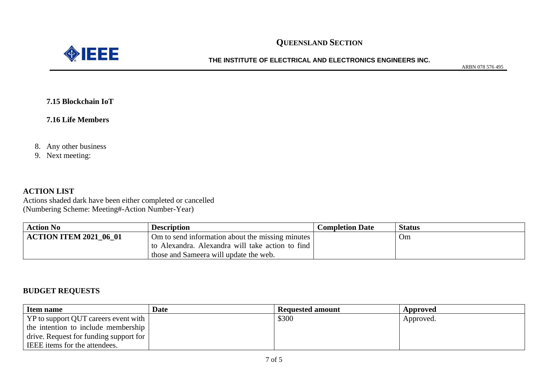



**THE INSTITUTE OF ELECTRICAL AND ELECTRONICS ENGINEERS INC.**

ARBN 078 576 495

**7.15 Blockchain IoT**

**7.16 Life Members**

8. Any other business

9. Next meeting:

#### **ACTION LIST**

Actions shaded dark have been either completed or cancelled (Numbering Scheme: Meeting#-Action Number-Year)

| <b>Action No</b>              | <b>Description</b>                                           | <b>Completion Date</b> | <b>Status</b> |
|-------------------------------|--------------------------------------------------------------|------------------------|---------------|
| <b>ACTION ITEM 2021 06 01</b> | $\pm$ Om to send information about the missing minutes $\pm$ |                        | Om            |
|                               | to Alexandra. Alexandra will take action to find             |                        |               |
|                               | those and Sameera will update the web.                       |                        |               |

#### **BUDGET REQUESTS**

| <b>Item name</b>                       | <b>Date</b> | <b>Requested amount</b> | Approved  |
|----------------------------------------|-------------|-------------------------|-----------|
| YP to support QUT careers event with   |             | \$300                   | Approved. |
| the intention to include membership    |             |                         |           |
| drive. Request for funding support for |             |                         |           |
| IEEE items for the attendees.          |             |                         |           |